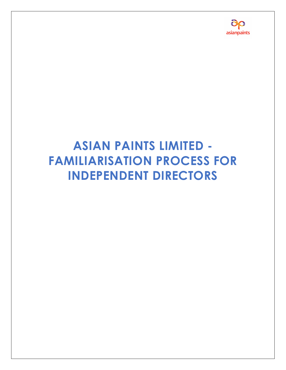# ASIAN PAINTS LIMITED - FAMILIARISATION PROCESS FOR INDEPENDENT DIRECTORS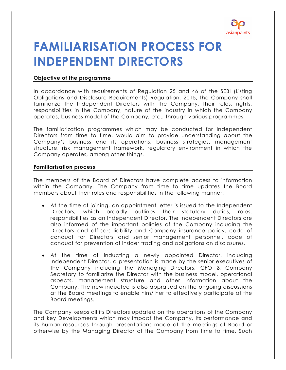

# FAMILIARISATION PROCESS FOR INDEPENDENT DIRECTORS

## Objective of the programme

In accordance with requirements of Regulation 25 and 46 of the SEBI (Listing Obligations and Disclosure Requirements) Regulation, 2015, the Company shall familiarize the Independent Directors with the Company, their roles, rights, responsibilities in the Company, nature of the industry in which the Company operates, business model of the Company, etc., through various programmes.

The familiarization programmes which may be conducted for Independent Directors from time to time, would aim to provide understanding about the Company's business and its operations, business strategies, management structure, risk management framework, regulatory environment in which the Company operates, among other things.

### Familiarisation process

The members of the Board of Directors have complete access to information within the Company. The Company from time to time updates the Board members about their roles and responsibilities in the following manner:

- At the time of joining, an appointment letter is issued to the Independent Directors, which broadly outlines their statutory duties, roles, responsibilities as an Independent Director. The Independent Directors are also informed of the important policies of the Company including the Directors and officers liability and Company insurance policy, code of conduct for Directors and senior management personnel, code of conduct for prevention of insider trading and obligations on disclosures.
- At the time of inducting a newly appointed Director, including Independent Director, a presentation is made by the senior executives of the Company including the Managing Directors, CFO & Company Secretary to familiarize the Director with the business model, operational aspects, management structure and other information about the Company. The new inductee is also appraised on the ongoing discussions at the Board meetings to enable him/ her to effectively participate at the Board meetings.

The Company keeps all its Directors updated on the operations of the Company and key Developments which may impact the Company, its performance and its human resources through presentations made at the meetings of Board or otherwise by the Managing Director of the Company from time to time. Such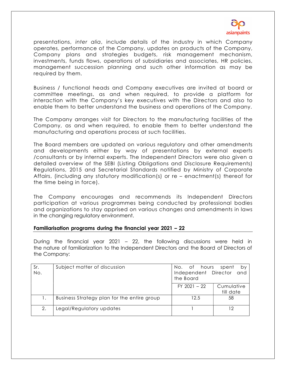

presentations, inter alia, include details of the industry in which Company operates, performance of the Company, updates on products of the Company, Company plans and strategies budgets, risk management mechanism, investments, funds flows, operations of subsidiaries and associates, HR policies, management succession planning and such other information as may be required by them.

Business / functional heads and Company executives are invited at board or committee meetings, as and when required, to provide a platform for interaction with the Company's key executives with the Directors and also to enable them to better understand the business and operations of the Company.

The Company arranges visit for Directors to the manufacturing facilities of the Company, as and when required, to enable them to better understand the manufacturing and operations process at such facilities.

The Board members are updated on various regulatory and other amendments and developments either by way of presentations by external experts /consultants or by internal experts. The Independent Directors were also given a detailed overview of the SEBI (Listing Obligations and Disclosure Requirements) Regulations, 2015 and Secretarial Standards notified by Ministry of Corporate Affairs, (including any statutory modification(s) or re – enactment(s) thereof for the time being in force).

The Company encourages and recommends its Independent Directors participation at various programmes being conducted by professional bodies and organizations to stay apprised on various changes and amendments in laws in the changing regulatory environment.

### Familiarisation programs during the financial year 20**21** – 2**2**

During the financial year 2021 – 22, the following discussions were held in the nature of familiarization to the Independent Directors and the Board of Directors of the Company:

| Sr. | Subject matter of discussion                | No. of hours                      | spent<br>by             |
|-----|---------------------------------------------|-----------------------------------|-------------------------|
| No. |                                             | Independent Director<br>the Board | and                     |
|     |                                             | $FY$ 2021 - 22                    | Cumulative<br>till date |
|     | Business Strategy plan for the entire group | 12.5                              | 58                      |
| 2.  | Legal/Regulatory updates                    |                                   | 12                      |